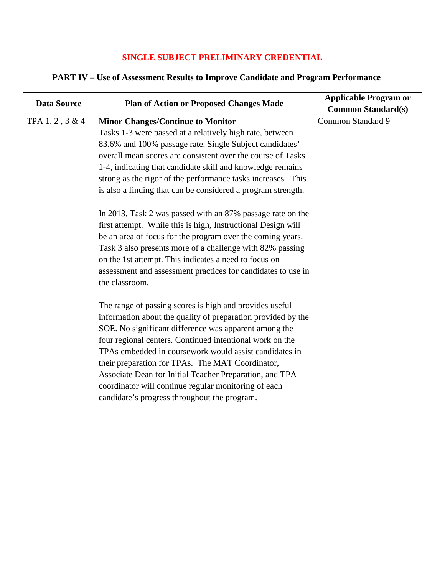## **SINGLE SUBJECT PRELIMINARY CREDENTIAL**

## **PART IV – Use of Assessment Results to Improve Candidate and Program Performance**

| <b>Data Source</b> | <b>Plan of Action or Proposed Changes Made</b>               | <b>Applicable Program or</b> |
|--------------------|--------------------------------------------------------------|------------------------------|
|                    |                                                              | <b>Common Standard(s)</b>    |
| TPA 1, 2, 3 & 4    | <b>Minor Changes/Continue to Monitor</b>                     | Common Standard 9            |
|                    | Tasks 1-3 were passed at a relatively high rate, between     |                              |
|                    | 83.6% and 100% passage rate. Single Subject candidates'      |                              |
|                    | overall mean scores are consistent over the course of Tasks  |                              |
|                    | 1-4, indicating that candidate skill and knowledge remains   |                              |
|                    | strong as the rigor of the performance tasks increases. This |                              |
|                    | is also a finding that can be considered a program strength. |                              |
|                    |                                                              |                              |
|                    | In 2013, Task 2 was passed with an 87% passage rate on the   |                              |
|                    | first attempt. While this is high, Instructional Design will |                              |
|                    | be an area of focus for the program over the coming years.   |                              |
|                    | Task 3 also presents more of a challenge with 82% passing    |                              |
|                    | on the 1st attempt. This indicates a need to focus on        |                              |
|                    | assessment and assessment practices for candidates to use in |                              |
|                    | the classroom.                                               |                              |
|                    |                                                              |                              |
|                    | The range of passing scores is high and provides useful      |                              |
|                    | information about the quality of preparation provided by the |                              |
|                    | SOE. No significant difference was apparent among the        |                              |
|                    | four regional centers. Continued intentional work on the     |                              |
|                    | TPAs embedded in coursework would assist candidates in       |                              |
|                    | their preparation for TPAs. The MAT Coordinator,             |                              |
|                    | Associate Dean for Initial Teacher Preparation, and TPA      |                              |
|                    | coordinator will continue regular monitoring of each         |                              |
|                    | candidate's progress throughout the program.                 |                              |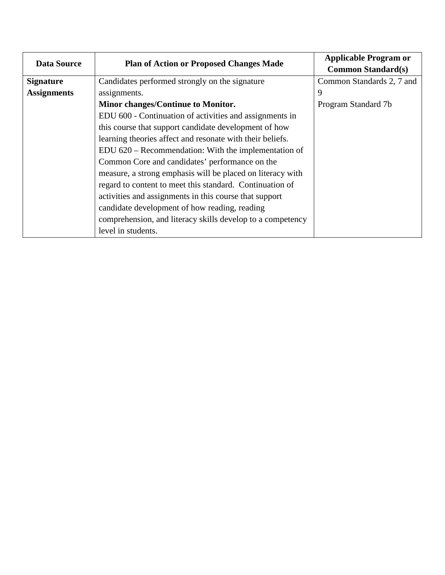| <b>Data Source</b> | <b>Plan of Action or Proposed Changes Made</b>             | <b>Applicable Program or</b><br><b>Common Standard(s)</b> |
|--------------------|------------------------------------------------------------|-----------------------------------------------------------|
| <b>Signature</b>   | Candidates performed strongly on the signature             | Common Standards 2, 7 and                                 |
| <b>Assignments</b> | assignments.                                               | 9                                                         |
|                    | Minor changes/Continue to Monitor.                         | Program Standard 7b                                       |
|                    | EDU 600 - Continuation of activities and assignments in    |                                                           |
|                    | this course that support candidate development of how      |                                                           |
|                    | learning theories affect and resonate with their beliefs.  |                                                           |
|                    | EDU 620 – Recommendation: With the implementation of       |                                                           |
|                    | Common Core and candidates' performance on the             |                                                           |
|                    | measure, a strong emphasis will be placed on literacy with |                                                           |
|                    | regard to content to meet this standard. Continuation of   |                                                           |
|                    | activities and assignments in this course that support     |                                                           |
|                    | candidate development of how reading, reading              |                                                           |
|                    | comprehension, and literacy skills develop to a competency |                                                           |
|                    | level in students.                                         |                                                           |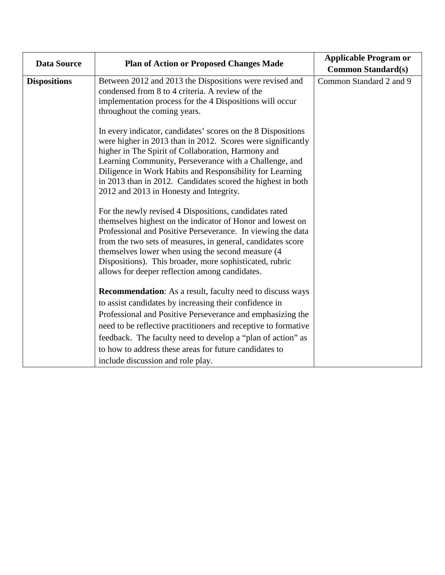| <b>Data Source</b>  | <b>Plan of Action or Proposed Changes Made</b>                                                                                                                                                                                                                                                                                                                                                                           | <b>Applicable Program or</b> |
|---------------------|--------------------------------------------------------------------------------------------------------------------------------------------------------------------------------------------------------------------------------------------------------------------------------------------------------------------------------------------------------------------------------------------------------------------------|------------------------------|
|                     |                                                                                                                                                                                                                                                                                                                                                                                                                          | <b>Common Standard(s)</b>    |
| <b>Dispositions</b> | Between 2012 and 2013 the Dispositions were revised and<br>condensed from 8 to 4 criteria. A review of the<br>implementation process for the 4 Dispositions will occur<br>throughout the coming years.                                                                                                                                                                                                                   | Common Standard 2 and 9      |
|                     | In every indicator, candidates' scores on the 8 Dispositions<br>were higher in 2013 than in 2012. Scores were significantly<br>higher in The Spirit of Collaboration, Harmony and<br>Learning Community, Perseverance with a Challenge, and<br>Diligence in Work Habits and Responsibility for Learning<br>in 2013 than in 2012. Candidates scored the highest in both<br>2012 and 2013 in Honesty and Integrity.        |                              |
|                     | For the newly revised 4 Dispositions, candidates rated<br>themselves highest on the indicator of Honor and lowest on<br>Professional and Positive Perseverance. In viewing the data<br>from the two sets of measures, in general, candidates score<br>themselves lower when using the second measure (4)<br>Dispositions). This broader, more sophisticated, rubric<br>allows for deeper reflection among candidates.    |                              |
|                     | <b>Recommendation:</b> As a result, faculty need to discuss ways<br>to assist candidates by increasing their confidence in<br>Professional and Positive Perseverance and emphasizing the<br>need to be reflective practitioners and receptive to formative<br>feedback. The faculty need to develop a "plan of action" as<br>to how to address these areas for future candidates to<br>include discussion and role play. |                              |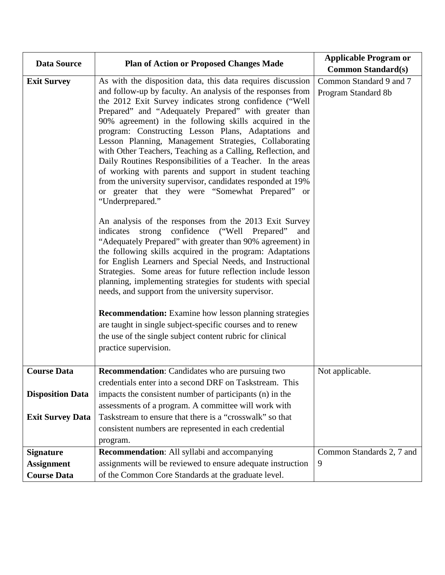| <b>Data Source</b>      | <b>Plan of Action or Proposed Changes Made</b>                                                                                                                                                                                                                                                                                                                                                                                                                                                                                                                                                                                                                                                                                                                                                                    | <b>Applicable Program or</b>                   |
|-------------------------|-------------------------------------------------------------------------------------------------------------------------------------------------------------------------------------------------------------------------------------------------------------------------------------------------------------------------------------------------------------------------------------------------------------------------------------------------------------------------------------------------------------------------------------------------------------------------------------------------------------------------------------------------------------------------------------------------------------------------------------------------------------------------------------------------------------------|------------------------------------------------|
|                         |                                                                                                                                                                                                                                                                                                                                                                                                                                                                                                                                                                                                                                                                                                                                                                                                                   | <b>Common Standard(s)</b>                      |
| <b>Exit Survey</b>      | As with the disposition data, this data requires discussion<br>and follow-up by faculty. An analysis of the responses from<br>the 2012 Exit Survey indicates strong confidence ("Well<br>Prepared" and "Adequately Prepared" with greater than<br>90% agreement) in the following skills acquired in the<br>program: Constructing Lesson Plans, Adaptations and<br>Lesson Planning, Management Strategies, Collaborating<br>with Other Teachers, Teaching as a Calling, Reflection, and<br>Daily Routines Responsibilities of a Teacher. In the areas<br>of working with parents and support in student teaching<br>from the university supervisor, candidates responded at 19%<br>or greater that they were "Somewhat Prepared" or<br>"Underprepared."<br>An analysis of the responses from the 2013 Exit Survey | Common Standard 9 and 7<br>Program Standard 8b |
|                         | strong confidence ("Well Prepared"<br>indicates<br>and<br>"Adequately Prepared" with greater than 90% agreement) in<br>the following skills acquired in the program: Adaptations<br>for English Learners and Special Needs, and Instructional<br>Strategies. Some areas for future reflection include lesson<br>planning, implementing strategies for students with special<br>needs, and support from the university supervisor.<br><b>Recommendation:</b> Examine how lesson planning strategies<br>are taught in single subject-specific courses and to renew<br>the use of the single subject content rubric for clinical<br>practice supervision.                                                                                                                                                            |                                                |
| <b>Course Data</b>      | <b>Recommendation:</b> Candidates who are pursuing two                                                                                                                                                                                                                                                                                                                                                                                                                                                                                                                                                                                                                                                                                                                                                            | Not applicable.                                |
|                         | credentials enter into a second DRF on Taskstream. This                                                                                                                                                                                                                                                                                                                                                                                                                                                                                                                                                                                                                                                                                                                                                           |                                                |
| <b>Disposition Data</b> | impacts the consistent number of participants (n) in the                                                                                                                                                                                                                                                                                                                                                                                                                                                                                                                                                                                                                                                                                                                                                          |                                                |
|                         | assessments of a program. A committee will work with                                                                                                                                                                                                                                                                                                                                                                                                                                                                                                                                                                                                                                                                                                                                                              |                                                |
| <b>Exit Survey Data</b> | Taskstream to ensure that there is a "crosswalk" so that                                                                                                                                                                                                                                                                                                                                                                                                                                                                                                                                                                                                                                                                                                                                                          |                                                |
|                         | consistent numbers are represented in each credential                                                                                                                                                                                                                                                                                                                                                                                                                                                                                                                                                                                                                                                                                                                                                             |                                                |
|                         | program.                                                                                                                                                                                                                                                                                                                                                                                                                                                                                                                                                                                                                                                                                                                                                                                                          |                                                |
| <b>Signature</b>        | Recommendation: All syllabi and accompanying                                                                                                                                                                                                                                                                                                                                                                                                                                                                                                                                                                                                                                                                                                                                                                      | Common Standards 2, 7 and                      |
| <b>Assignment</b>       | assignments will be reviewed to ensure adequate instruction                                                                                                                                                                                                                                                                                                                                                                                                                                                                                                                                                                                                                                                                                                                                                       | 9                                              |
| <b>Course Data</b>      | of the Common Core Standards at the graduate level.                                                                                                                                                                                                                                                                                                                                                                                                                                                                                                                                                                                                                                                                                                                                                               |                                                |